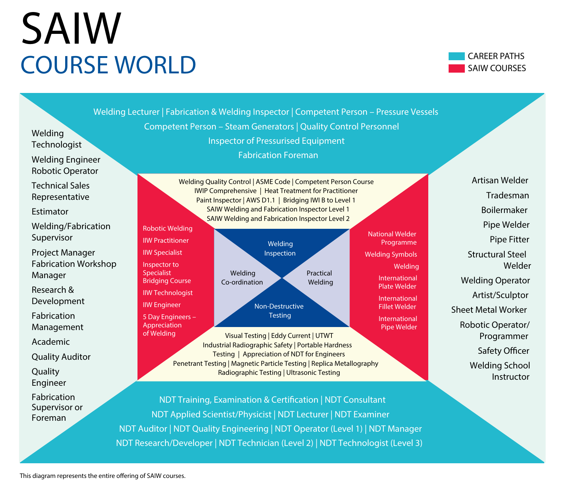## SAIW COURSE WORLD



Welding Quality Control | ASME Code | Competent Person Course IWIP Comprehensive | Heat Treatment for Practitioner Paint Inspector | AWS D1.1 | Bridging IWI B to Level 1 SAIW Welding and Fabrication Inspector Level 1 SAIW Welding and Fabrication Inspector Level 2 Visual Testing | Eddy Current | UTWT Industrial Radiographic Safety | Portable Hardness Testing | Appreciation of NDT for Engineers Penetrant Testing | Magnetic Particle Testing | Replica Metallography Radiographic Testing | Ultrasonic Testing Welding Inspection Non-Destructive Testing Robotic Welding IIW Practitioner IIW Specialist Inspector to **Specialist** Bridging Course IIW Technologist IIW Engineer 5 Day Engineers – Appreciation of Welding National Welder Programme Welding Symbols Welding International Plate Welder International Fillet Welder International Pipe Welder Welding Lecturer | Fabrication & Welding Inspector | Competent Person – Pressure Vessels Competent Person – Steam Generators | Quality Control Personnel Inspector of Pressurised Equipment Fabrication Foreman NDT Training, Examination & Certification | NDT Consultant NDT Applied Scientist/Physicist | NDT Lecturer | NDT Examiner Welding Technologist Welding Engineer Robotic Operator Technical Sales Representative Estimator Welding/Fabrication Supervisor Project Manager Fabrication Workshop Manager Research & Development Fabrication Management Academic Quality Auditor **Quality** Engineer Fabrication Supervisor or Foreman Artisan Welder Tradesman Boilermaker Pipe Welder Pipe Fitter Structural Steel Welder Welding Operator Artist/Sculptor Sheet Metal Worker Robotic Operator/ Programmer Safety Officer Welding School Instructor Welding Co-ordination Practical Welding

NDT Auditor | NDT Quality Engineering | NDT Operator (Level 1) | NDT Manager NDT Research/Developer | NDT Technician (Level 2) | NDT Technologist (Level 3)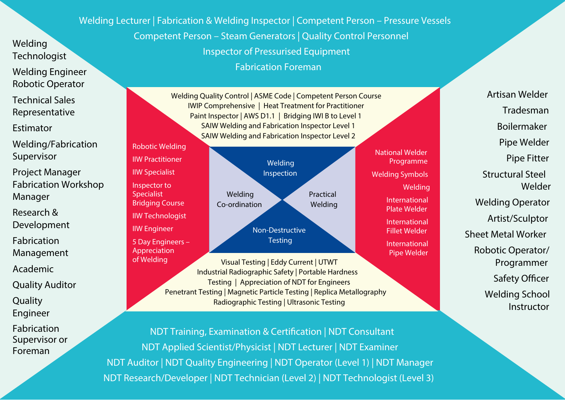Welding Lecturer | Fabrication & Welding Inspector | Competent Person – Pressure Vessels Competent Person – Steam Generators | Quality Control Personnel Inspector of Pressurised Equipment

Fabrication Foreman

Welding Engineer Robotic Operator Technical Sales

Representative

Estimator

Welding **Technologist** 

Welding/Fabrication Supervisor

IIW Practitioner IIW Specialist Inspector to Specialist

IIW Engineer

Appreciation

Project Manager Fabrication Workshop Manager

Research &

Development

Fabrication

Management

Academic

Quality Auditor

Quality

Engineer

Fabrication

Supervisor or

Foreman

Welding Quality Control | ASME Code | Competent Person Course IWIP Comprehensive | Heat Treatment for Practitioner Paint Inspector | AWS D1.1 | Bridging IWI B to Level 1 SAIW Welding and Fabrication Inspector Level 1 SAIW Welding and Fabrication Inspector Level 2



Visual Testing | Eddy Current | UTWT Industrial Radiographic Safety | Portable Hardness Testing | Appreciation of NDT for Engineers Penetrant Testing | Magnetic Particle Testing | Replica Metallography Radiographic Testing | Ultrasonic Testing of Welding

National Welder Programme Welding Symbols Welding International Plate Welder International Fillet Welder

> International Pipe Welder

Artisan Welder Tradesman Boilermaker Pipe Welder Pipe Fitter Structural Steel Welder Welding Operator Artist/Sculptor Sheet Metal Worker Robotic Operator/ Programmer Safety Officer Welding School Instructor

NDT Training, Examination & Certification | NDT Consultant NDT Applied Scientist/Physicist | NDT Lecturer | NDT Examiner NDT Auditor | NDT Quality Engineering | NDT Operator (Level 1) | NDT Manager NDT Research/Developer | NDT Technician (Level 2) | NDT Technologist (Level 3)